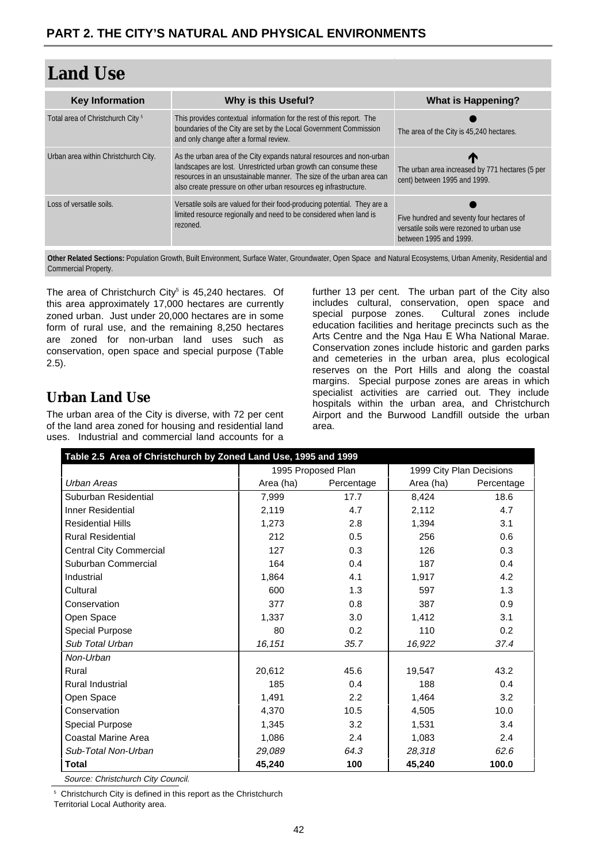| <b>Key Information</b>                       | Why is this Useful?                                                                                                                                                                                                                                                                   | <b>What is Happening?</b>                                                                                        |
|----------------------------------------------|---------------------------------------------------------------------------------------------------------------------------------------------------------------------------------------------------------------------------------------------------------------------------------------|------------------------------------------------------------------------------------------------------------------|
| Total area of Christchurch City <sup>5</sup> | This provides contextual information for the rest of this report. The<br>boundaries of the City are set by the Local Government Commission<br>and only change after a formal review.                                                                                                  | The area of the City is 45,240 hectares.                                                                         |
| Urban area within Christchurch City.         | As the urban area of the City expands natural resources and non-urban<br>landscapes are lost. Unrestricted urban growth can consume these<br>resources in an unsustainable manner. The size of the urban area can<br>also create pressure on other urban resources eq infrastructure. | $\mathbf T$<br>The urban area increased by 771 hectares (5 per<br>cent) between 1995 and 1999.                   |
| Loss of versatile soils.                     | Versatile soils are valued for their food-producing potential. They are a<br>limited resource regionally and need to be considered when land is<br>rezoned.                                                                                                                           | Five hundred and seventy four hectares of<br>versatile soils were rezoned to urban use<br>between 1995 and 1999. |

Other Related Sections: Population Growth, Built Environment, Surface Water, Groundwater, Open Space and Natural Ecosystems, Urban Amenity, Residential and Commercial Property.

The area of Christchurch City<sup>5</sup> is 45,240 hectares. Of this area approximately 17,000 hectares are currently zoned urban. Just under 20,000 hectares are in some form of rural use, and the remaining 8,250 hectares are zoned for non-urban land uses such as conservation, open space and special purpose (Table 2.5).

## **Urban Land Use**

The urban area of the City is diverse, with 72 per cent of the land area zoned for housing and residential land uses. Industrial and commercial land accounts for a further 13 per cent. The urban part of the City also includes cultural, conservation, open space and special purpose zones. Cultural zones include education facilities and heritage precincts such as the Arts Centre and the Nga Hau E Wha National Marae. Conservation zones include historic and garden parks and cemeteries in the urban area, plus ecological reserves on the Port Hills and along the coastal margins. Special purpose zones are areas in which specialist activities are carried out. They include hospitals within the urban area, and Christchurch Airport and the Burwood Landfill outside the urban area.

| Table 2.5 Area of Christchurch by Zoned Land Use, 1995 and 1999 |                    |               |                          |            |  |  |  |
|-----------------------------------------------------------------|--------------------|---------------|--------------------------|------------|--|--|--|
|                                                                 | 1995 Proposed Plan |               | 1999 City Plan Decisions |            |  |  |  |
| Urban Areas                                                     | Area (ha)          | Percentage    | Area (ha)                | Percentage |  |  |  |
| Suburban Residential                                            | 7,999              | 17.7          | 8,424                    | 18.6       |  |  |  |
| <b>Inner Residential</b>                                        | 2,119              | 4.7           | 2,112                    | 4.7        |  |  |  |
| <b>Residential Hills</b>                                        | 1,273              | 2.8           | 1,394                    | 3.1        |  |  |  |
| <b>Rural Residential</b>                                        | 212                | 0.5           | 256                      | 0.6        |  |  |  |
| Central City Commercial                                         | 127                | 0.3           | 126                      | 0.3        |  |  |  |
| Suburban Commercial                                             | 164                | 0.4           | 187                      | 0.4        |  |  |  |
| Industrial                                                      | 1,864              | 4.1           | 1,917                    | 4.2        |  |  |  |
| Cultural                                                        | 600                | 1.3           | 597                      | 1.3        |  |  |  |
| Conservation                                                    | 377                | 0.8           | 387                      | 0.9        |  |  |  |
| Open Space                                                      | 1,337              | 3.0           | 1,412                    | 3.1        |  |  |  |
| <b>Special Purpose</b>                                          | 80                 | 0.2           | 110                      | 0.2        |  |  |  |
| Sub Total Urban                                                 | 16,151             | 35.7          | 16,922                   | 37.4       |  |  |  |
| Non-Urban                                                       |                    |               |                          |            |  |  |  |
| Rural                                                           | 20,612             | 45.6          | 19,547                   | 43.2       |  |  |  |
| Rural Industrial                                                | 185                | 0.4           | 188                      | 0.4        |  |  |  |
| Open Space                                                      | 1,491              | $2.2^{\circ}$ | 1,464                    | 3.2        |  |  |  |
| Conservation                                                    | 4,370              | 10.5          | 4,505                    | 10.0       |  |  |  |
| <b>Special Purpose</b>                                          | 1,345              | 3.2           | 1,531                    | 3.4        |  |  |  |
| <b>Coastal Marine Area</b>                                      | 1,086              | 2.4           | 1,083                    | 2.4        |  |  |  |
| Sub-Total Non-Urban                                             | 29,089             | 64.3          | 28,318                   | 62.6       |  |  |  |
| <b>Total</b>                                                    | 45,240             | 100           | 45,240                   | 100.0      |  |  |  |

Source: Christchurch City Council.

5 Christchurch City is defined in this report as the Christchurch

Territorial Local Authority area.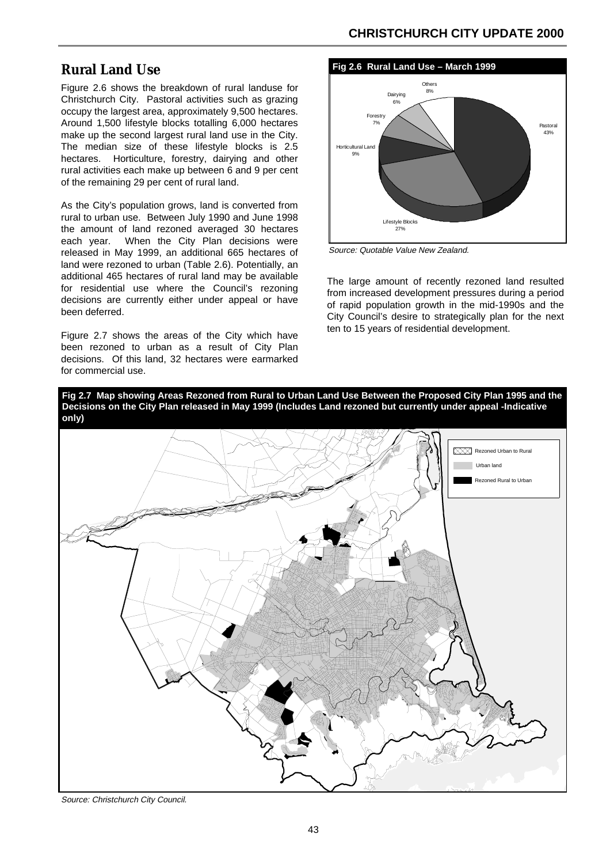## **Rural Land Use**

Figure 2.6 shows the breakdown of rural landuse for Christchurch City. Pastoral activities such as grazing occupy the largest area, approximately 9,500 hectares. Around 1,500 lifestyle blocks totalling 6,000 hectares make up the second largest rural land use in the City. The median size of these lifestyle blocks is 2.5 hectares. Horticulture, forestry, dairying and other rural activities each make up between 6 and 9 per cent of the remaining 29 per cent of rural land.

As the City's population grows, land is converted from rural to urban use. Between July 1990 and June 1998 the amount of land rezoned averaged 30 hectares each year. When the City Plan decisions were released in May 1999, an additional 665 hectares of land were rezoned to urban (Table 2.6). Potentially, an additional 465 hectares of rural land may be available for residential use where the Council's rezoning decisions are currently either under appeal or have been deferred.

Figure 2.7 shows the areas of the City which have been rezoned to urban as a result of City Plan decisions. Of this land, 32 hectares were earmarked for commercial use.



Source: Quotable Value New Zealand.

The large amount of recently rezoned land resulted from increased development pressures during a period of rapid population growth in the mid-1990s and the City Council's desire to strategically plan for the next ten to 15 years of residential development.





Source: Christchurch City Council.